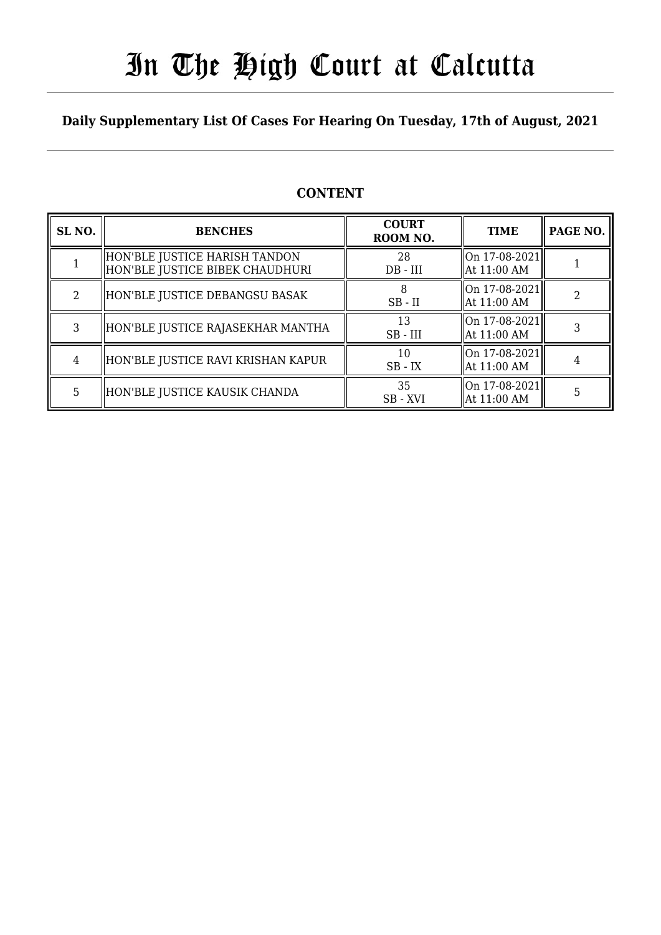# In The High Court at Calcutta

### **Daily Supplementary List Of Cases For Hearing On Tuesday, 17th of August, 2021**

| SL <sub>NO.</sub> | <b>BENCHES</b>                                                     | <b>COURT</b><br>ROOM NO. | <b>TIME</b>                     | PAGE NO. |
|-------------------|--------------------------------------------------------------------|--------------------------|---------------------------------|----------|
|                   | HON'BLE JUSTICE HARISH TANDON<br>  HON'BLE JUSTICE BIBEK CHAUDHURI | 28<br>$DB - III$         | On 17-08-2021<br>  At 11:00 AM  |          |
| $\mathfrak{D}$    | HON'BLE JUSTICE DEBANGSU BASAK                                     | $SB$ - $II$              | On 17-08-2021 <br>  At 11:00 AM |          |
| 3                 | HON'BLE JUSTICE RAJASEKHAR MANTHA                                  | 13<br>$SB$ - $III$       | On 17-08-2021<br>  At 11:00 AM  |          |
| 4                 | HON'BLE JUSTICE RAVI KRISHAN KAPUR                                 | 10<br>$SB$ - $IX$        | On 17-08-2021<br>  At 11:00 AM  |          |
| 5                 | HON'BLE JUSTICE KAUSIK CHANDA                                      | 35<br>SB - XVI           | On 17-08-2021<br>  At 11:00 AM  |          |

### **CONTENT**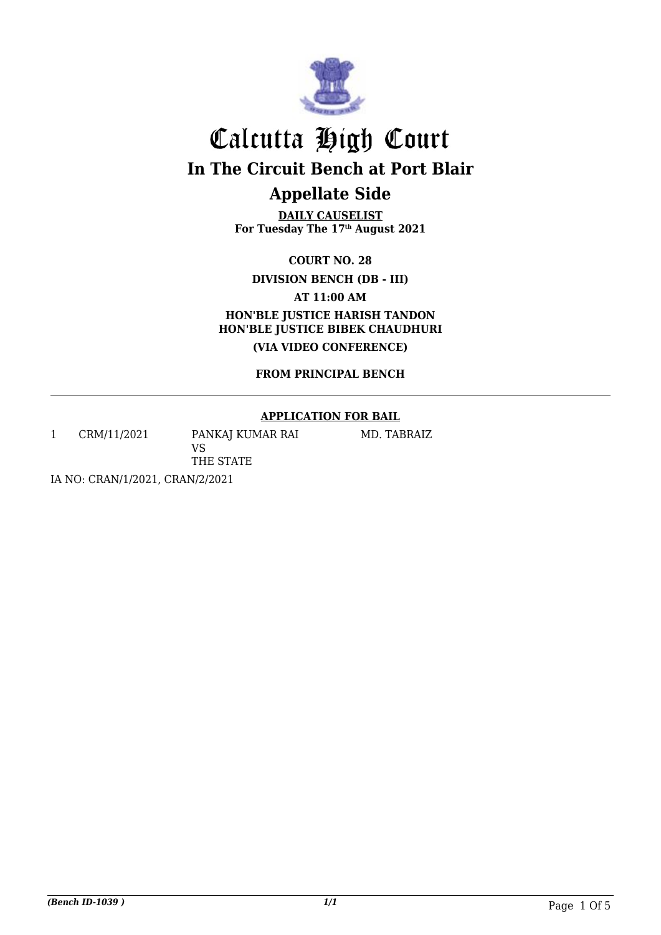

**DAILY CAUSELIST For Tuesday The 17th August 2021**

**COURT NO. 28**

**DIVISION BENCH (DB - III)**

**AT 11:00 AM**

**HON'BLE JUSTICE HARISH TANDON HON'BLE JUSTICE BIBEK CHAUDHURI (VIA VIDEO CONFERENCE)**

**FROM PRINCIPAL BENCH**

#### **APPLICATION FOR BAIL**

1 CRM/11/2021 PANKAJ KUMAR RAI

MD. TABRAIZ

IA NO: CRAN/1/2021, CRAN/2/2021

VS

THE STATE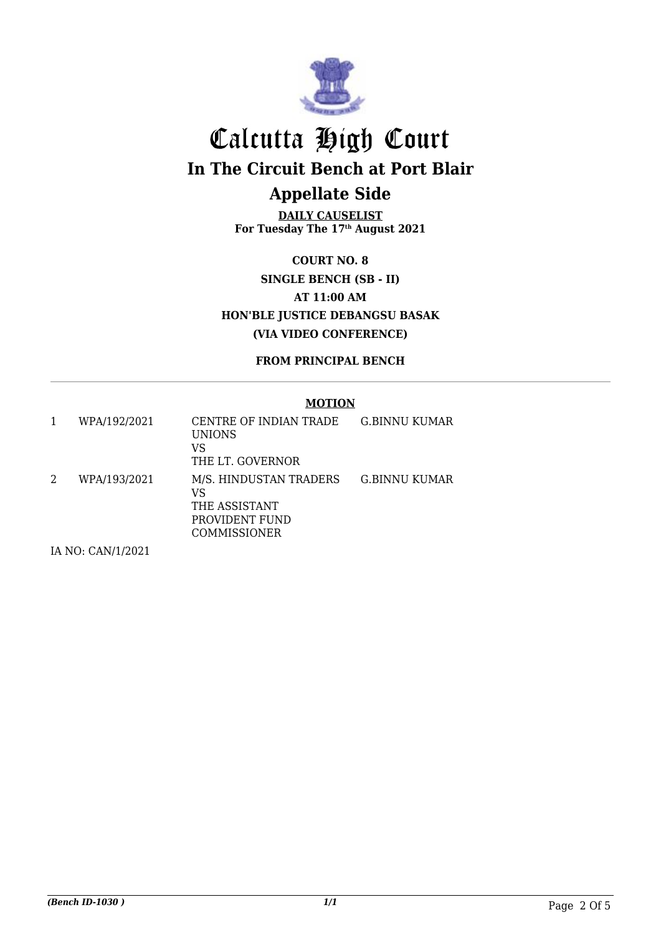

**DAILY CAUSELIST For Tuesday The 17th August 2021**

**COURT NO. 8 SINGLE BENCH (SB - II) AT 11:00 AM HON'BLE JUSTICE DEBANGSU BASAK (VIA VIDEO CONFERENCE)**

**FROM PRINCIPAL BENCH**

#### **MOTION**

| WPA/192/2021 | CENTRE OF INDIAN TRADE<br><b>UNIONS</b><br>VS<br>THE LT. GOVERNOR                      | G.BINNU KUMAR |
|--------------|----------------------------------------------------------------------------------------|---------------|
| WPA/193/2021 | M/S. HINDUSTAN TRADERS<br>VS<br>THE ASSISTANT<br>PROVIDENT FUND<br><b>COMMISSIONER</b> | G.BINNU KUMAR |

IA NO: CAN/1/2021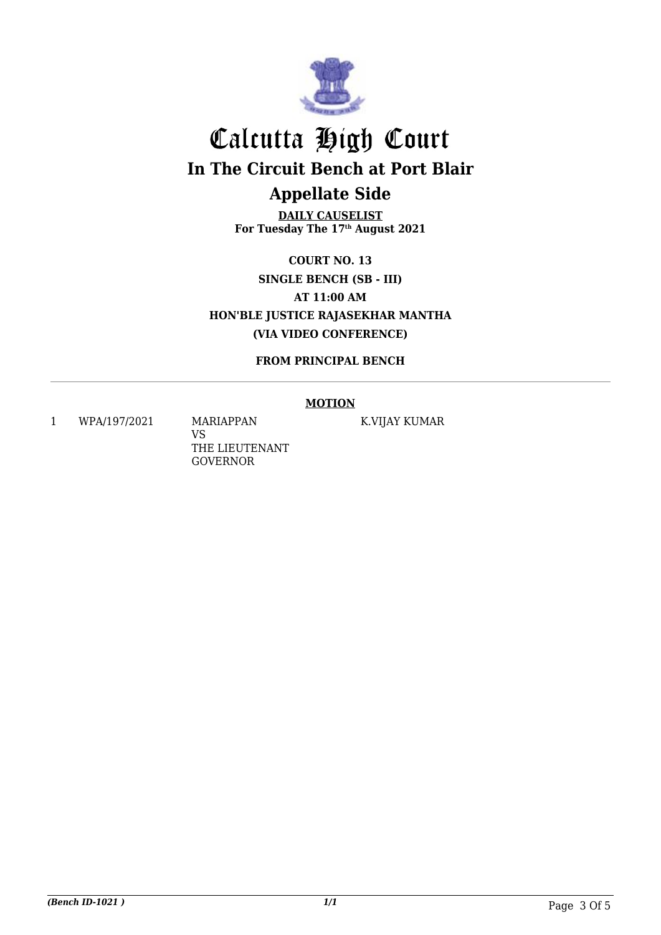

**DAILY CAUSELIST For Tuesday The 17th August 2021**

**COURT NO. 13 SINGLE BENCH (SB - III) AT 11:00 AM HON'BLE JUSTICE RAJASEKHAR MANTHA (VIA VIDEO CONFERENCE)**

**FROM PRINCIPAL BENCH**

#### **MOTION**

1 WPA/197/2021 MARIAPPAN

VS THE LIEUTENANT GOVERNOR

K.VIJAY KUMAR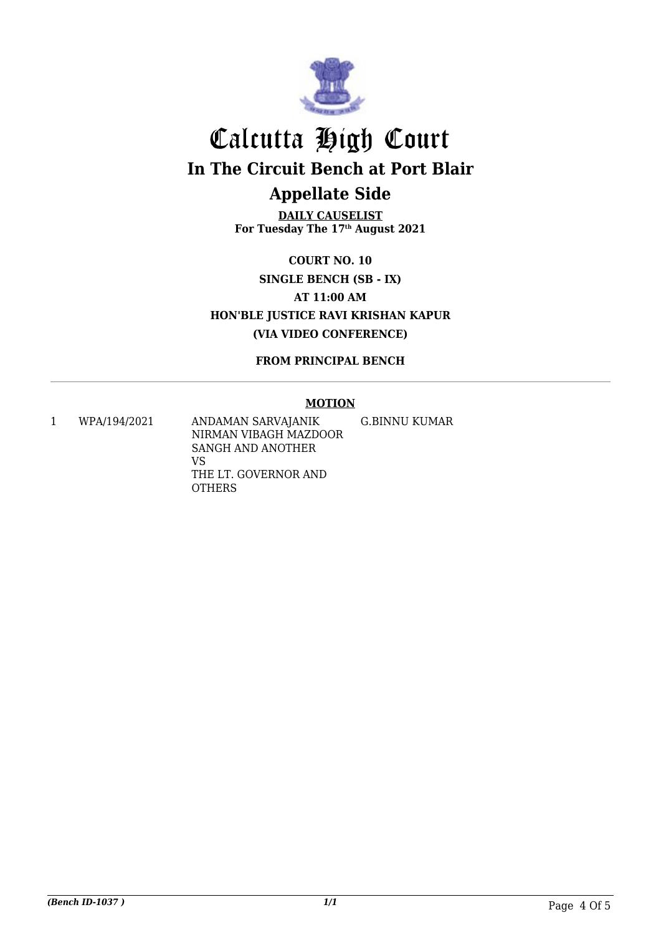

**DAILY CAUSELIST For Tuesday The 17th August 2021**

**COURT NO. 10 SINGLE BENCH (SB - IX) AT 11:00 AM HON'BLE JUSTICE RAVI KRISHAN KAPUR (VIA VIDEO CONFERENCE)**

**FROM PRINCIPAL BENCH**

#### **MOTION**

1 WPA/194/2021 ANDAMAN SARVAJANIK NIRMAN VIBAGH MAZDOOR SANGH AND ANOTHER VS THE LT. GOVERNOR AND **OTHERS** G.BINNU KUMAR